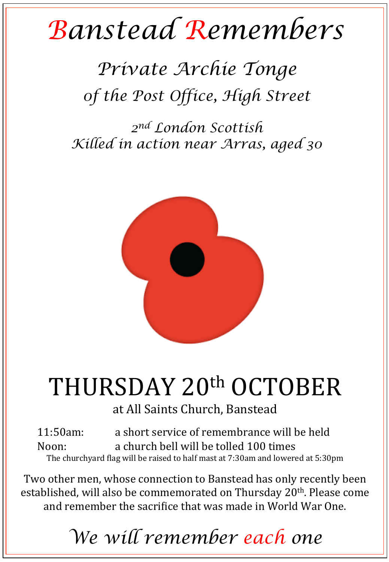## *Banstead Remembers*

## *Private Archie Tonge 0f the Post Office, High Street*

*2nd London Scottish Killed in action near Arras, aged 30* 



## THURSDAY 20<sup>th</sup> OCTOBER

at All Saints Church, Banstead

11:50am: a short service of remembrance will be held Noon: a church bell will be tolled 100 times The churchyard flag will be raised to half mast at 7:30am and lowered at 5:30pm

Two other men, whose connection to Banstead has only recently been established, will also be commemorated on Thursday 20<sup>th</sup>. Please come and remember the sacrifice that was made in World War One.

*We will remember each one*